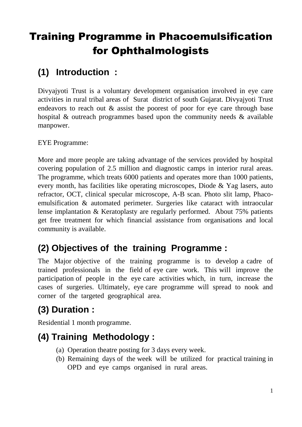# Training Programme in Phacoemulsification for Ophthalmologists

## **(1) Introduction :**

Divyajyoti Trust is a voluntary development organisation involved in eye care activities in rural tribal areas of Surat district of south Gujarat. Divyajyoti Trust endeavors to reach out & assist the poorest of poor for eye care through base hospital & outreach programmes based upon the community needs & available manpower.

EYE Programme:

More and more people are taking advantage of the services provided by hospital covering population of 2.5 million and diagnostic camps in interior rural areas. The programme, which treats 6000 patients and operates more than 1000 patients, every month, has facilities like operating microscopes, Diode & Yag lasers, auto refractor, OCT, clinical specular microscope, A-B scan. Photo slit lamp, Phacoemulsification & automated perimeter. Surgeries like cataract with intraocular lense implantation & Keratoplasty are regularly performed. About 75% patients get free treatment for which financial assistance from organisations and local community is available.

### **(2) Objectives of the training Programme :**

The Major objective of the training programme is to develop a cadre of trained professionals in the field of eye care work. This will improve the participation of people in the eye care activities which, in turn, increase the cases of surgeries. Ultimately, eye care programme will spread to nook and corner of the targeted geographical area.

## **(3) Duration :**

Residential 1 month programme.

## **(4) Training Methodology :**

- (a) Operation theatre posting for 3 days every week.
- (b) Remaining days of the week will be utilized for practical training in OPD and eye camps organised in rural areas.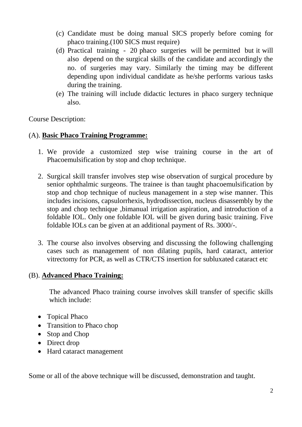- (c) Candidate must be doing manual SICS properly before coming for phaco training.(100 SICS must require)
- (d) Practical training 20 phaco surgeries will be permitted but it will also depend on the surgical skills of the candidate and accordingly the no. of surgeries may vary. Similarly the timing may be different depending upon individual candidate as he/she performs various tasks during the training.
- (e) The training will include didactic lectures in phaco surgery technique also.

Course Description:

#### (A). **Basic Phaco Training Programme:**

- 1. We provide a customized step wise training course in the art of Phacoemulsification by stop and chop technique.
- 2. Surgical skill transfer involves step wise observation of surgical procedure by senior ophthalmic surgeons. The trainee is than taught phacoemulsification by stop and chop technique of nucleus management in a step wise manner. This includes incisions, capsulorrhexis, hydrodissection, nucleus disassembly by the stop and chop technique ,bimanual irrigation aspiration, and introduction of a foldable IOL. Only one foldable IOL will be given during basic training. Five foldable IOLs can be given at an additional payment of Rs. 3000/-.
- 3. The course also involves observing and discussing the following challenging cases such as management of non dilating pupils, hard cataract, anterior vitrectomy for PCR, as well as CTR/CTS insertion for subluxated cataract etc

#### (B). **Advanced Phaco Training:**

The advanced Phaco training course involves skill transfer of specific skills which include:

- Topical Phaco
- Transition to Phaco chop
- Stop and Chop
- Direct drop
- Hard cataract management

Some or all of the above technique will be discussed, demonstration and taught.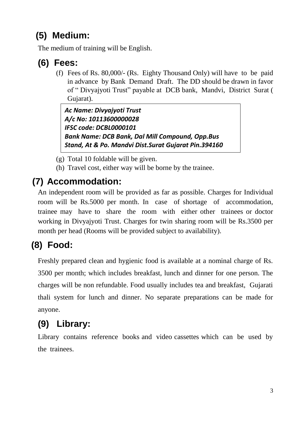## **(5) Medium:**

The medium of training will be English.

### **(6) Fees:**

(f) Fees of Rs. 80,000/- (Rs. Eighty Thousand Only) will have to be paid in advance by Bank Demand Draft. The DD should be drawn in favor of " Divyajyoti Trust" payable at DCB bank, Mandvi, District Surat ( Gujarat).

*Ac Name: Divyajyoti Trust A/c No: 10113600000028 IFSC code: DCBL0000101 Bank Name: DCB Bank, Dal Mill Compound, Opp.Bus Stand, At & Po. Mandvi Dist.Surat Gujarat Pin.394160*

- (g) Total 10 foldable will be given.
- (h) Travel cost, either way will be borne by the trainee.

## **(7) Accommodation:**

An independent room will be provided as far as possible. Charges for Individual room will be Rs.5000 per month. In case of shortage of accommodation, trainee may have to share the room with either other trainees or doctor working in Divyajyoti Trust. Charges for twin sharing room will be Rs.3500 per month per head (Rooms will be provided subject to availability).

## **(8) Food:**

Freshly prepared clean and hygienic food is available at a nominal charge of Rs. 3500 per month; which includes breakfast, lunch and dinner for one person. The charges will be non refundable. Food usually includes tea and breakfast, Gujarati thali system for lunch and dinner. No separate preparations can be made for anyone.

## **(9) Library:**

Library contains reference books and video cassettes which can be used by the trainees.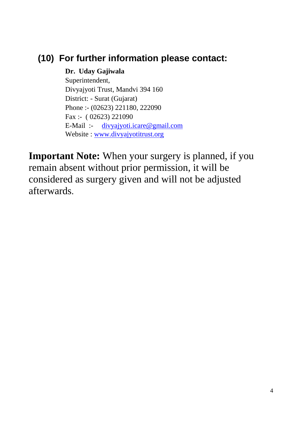#### **(10) For further information please contact:**

**Dr. Uday Gajiwala** Superintendent, Divyajyoti Trust, Mandvi 394 160 District: - Surat (Gujarat) Phone :- (02623) 221180, 222090 Fax :- ( 02623) 221090 E-Mail :- [divyajyoti.icare@gmail.com](mailto:divyajyoti.icare@gmail.com) Website : [www.divyajyotitrust.org](http://www.divyajyotitrust.org/)

**Important Note:** When your surgery is planned, if you remain absent without prior permission, it will be considered as surgery given and will not be adjusted afterwards.